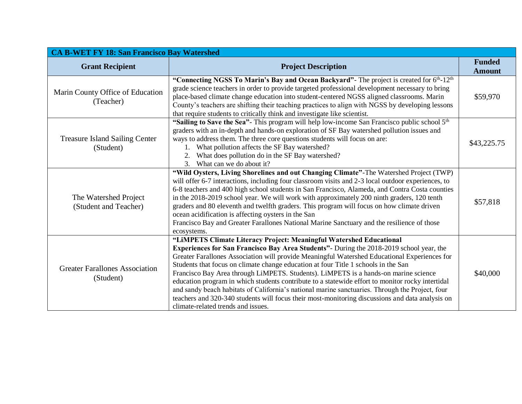| <b>CA B-WET FY 18: San Francisco Bay Watershed</b> |                                                                                                                                                                                                                                                                                                                                                                                                                                                                                                                                                                                                                                                                                                                                                                                              |                                |  |
|----------------------------------------------------|----------------------------------------------------------------------------------------------------------------------------------------------------------------------------------------------------------------------------------------------------------------------------------------------------------------------------------------------------------------------------------------------------------------------------------------------------------------------------------------------------------------------------------------------------------------------------------------------------------------------------------------------------------------------------------------------------------------------------------------------------------------------------------------------|--------------------------------|--|
| <b>Grant Recipient</b>                             | <b>Project Description</b>                                                                                                                                                                                                                                                                                                                                                                                                                                                                                                                                                                                                                                                                                                                                                                   | <b>Funded</b><br><b>Amount</b> |  |
| Marin County Office of Education<br>(Teacher)      | "Connecting NGSS To Marin's Bay and Ocean Backyard"- The project is created for 6th-12th<br>grade science teachers in order to provide targeted professional development necessary to bring<br>place-based climate change education into student-centered NGSS aligned classrooms. Marin<br>County's teachers are shifting their teaching practices to align with NGSS by developing lessons<br>that require students to critically think and investigate like scientist.                                                                                                                                                                                                                                                                                                                    | \$59,970                       |  |
| <b>Treasure Island Sailing Center</b><br>(Student) | "Sailing to Save the Sea"- This program will help low-income San Francisco public school 5th<br>graders with an in-depth and hands-on exploration of SF Bay watershed pollution issues and<br>ways to address them. The three core questions students will focus on are:<br>1. What pollution affects the SF Bay watershed?<br>What does pollution do in the SF Bay watershed?<br>2.<br>3.<br>What can we do about it?                                                                                                                                                                                                                                                                                                                                                                       | \$43,225.75                    |  |
| The Watershed Project<br>(Student and Teacher)     | "Wild Oysters, Living Shorelines and out Changing Climate"-The Watershed Project (TWP)<br>will offer 6-7 interactions, including four classroom visits and 2-3 local outdoor experiences, to<br>6-8 teachers and 400 high school students in San Francisco, Alameda, and Contra Costa counties<br>in the 2018-2019 school year. We will work with approximately 200 ninth graders, 120 tenth<br>graders and 80 eleventh and twelfth graders. This program will focus on how climate driven<br>ocean acidification is affecting oysters in the San<br>Francisco Bay and Greater Farallones National Marine Sanctuary and the resilience of those<br>ecosystems.                                                                                                                               | \$57,818                       |  |
| <b>Greater Farallones Association</b><br>(Student) | "LIMPETS Climate Literacy Project: Meaningful Watershed Educational<br>Experiences for San Francisco Bay Area Students" - During the 2018-2019 school year, the<br>Greater Farallones Association will provide Meaningful Watershed Educational Experiences for<br>Students that focus on climate change education at four Title 1 schools in the San<br>Francisco Bay Area through LiMPETS. Students). LiMPETS is a hands-on marine science<br>education program in which students contribute to a statewide effort to monitor rocky intertidal<br>and sandy beach habitats of California's national marine sanctuaries. Through the Project, four<br>teachers and 320-340 students will focus their most-monitoring discussions and data analysis on<br>climate-related trends and issues. | \$40,000                       |  |